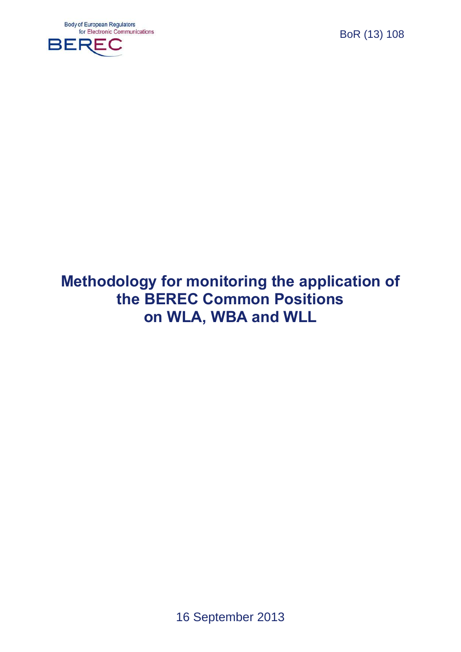

# **Methodology for monitoring the application of the BEREC Common Positions on WLA, WBA and WLL**

16 September 2013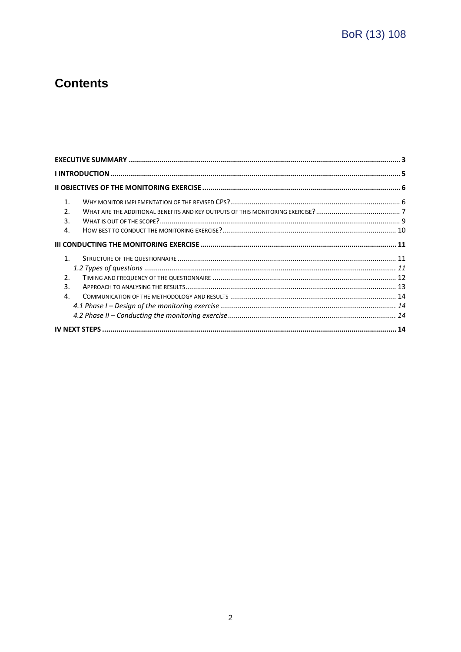# **Contents**

| $\mathbf{1}$ .<br>$\overline{2}$ . |  |  |  |
|------------------------------------|--|--|--|
| 3.<br>$\mathbf{4}$ .               |  |  |  |
|                                    |  |  |  |
| 1 <sub>1</sub>                     |  |  |  |
|                                    |  |  |  |
| $\mathcal{P}$                      |  |  |  |
| 3                                  |  |  |  |
| 4                                  |  |  |  |
|                                    |  |  |  |
|                                    |  |  |  |
|                                    |  |  |  |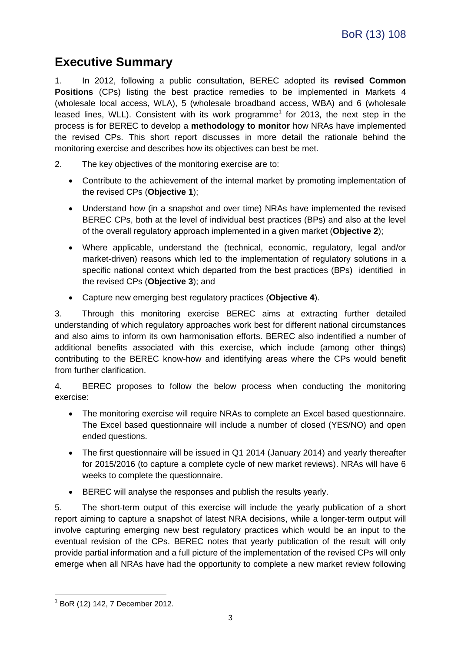## <span id="page-2-0"></span>**Executive Summary**

1. In 2012, following a public consultation, BEREC adopted its **revised Common Positions** (CPs) listing the best practice remedies to be implemented in Markets 4 (wholesale local access, WLA), 5 (wholesale broadband access, WBA) and 6 (wholesale leased lines, WLL). Consistent with its work programme<sup>1</sup> for 2013, the next step in the process is for BEREC to develop a **methodology to monitor** how NRAs have implemented the revised CPs. This short report discusses in more detail the rationale behind the monitoring exercise and describes how its objectives can best be met.

- 2. The key objectives of the monitoring exercise are to:
	- Contribute to the achievement of the internal market by promoting implementation of the revised CPs (**Objective 1**);
	- Understand how (in a snapshot and over time) NRAs have implemented the revised BEREC CPs, both at the level of individual best practices (BPs) and also at the level of the overall regulatory approach implemented in a given market (**Objective 2**);
	- Where applicable, understand the (technical, economic, regulatory, legal and/or market-driven) reasons which led to the implementation of regulatory solutions in a specific national context which departed from the best practices (BPs) identified in the revised CPs (**Objective 3**); and
	- Capture new emerging best regulatory practices (**Objective 4**).

3. Through this monitoring exercise BEREC aims at extracting further detailed understanding of which regulatory approaches work best for different national circumstances and also aims to inform its own harmonisation efforts. BEREC also indentified a number of additional benefits associated with this exercise, which include (among other things) contributing to the BEREC know-how and identifying areas where the CPs would benefit from further clarification.

4. BEREC proposes to follow the below process when conducting the monitoring exercise:

- The monitoring exercise will require NRAs to complete an Excel based questionnaire. The Excel based questionnaire will include a number of closed (YES/NO) and open ended questions.
- The first questionnaire will be issued in Q1 2014 (January 2014) and yearly thereafter for 2015/2016 (to capture a complete cycle of new market reviews). NRAs will have 6 weeks to complete the questionnaire.
- BEREC will analyse the responses and publish the results yearly.

5. The short-term output of this exercise will include the yearly publication of a short report aiming to capture a snapshot of latest NRA decisions, while a longer-term output will involve capturing emerging new best regulatory practices which would be an input to the eventual revision of the CPs. BEREC notes that yearly publication of the result will only provide partial information and a full picture of the implementation of the revised CPs will only emerge when all NRAs have had the opportunity to complete a new market review following

1

<sup>&</sup>lt;sup>1</sup> BoR (12) 142, 7 December 2012.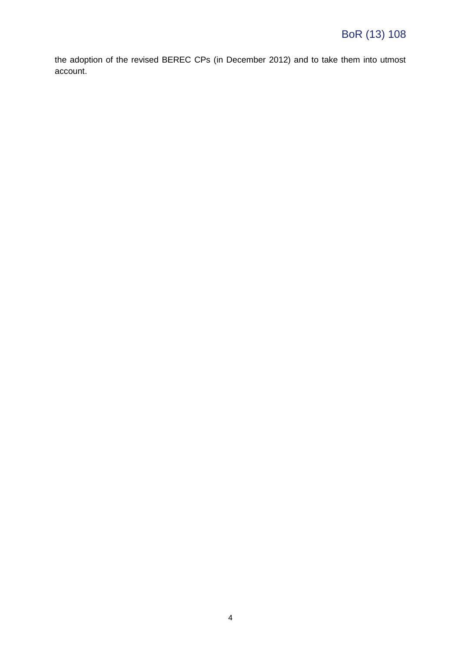the adoption of the revised BEREC CPs (in December 2012) and to take them into utmost account.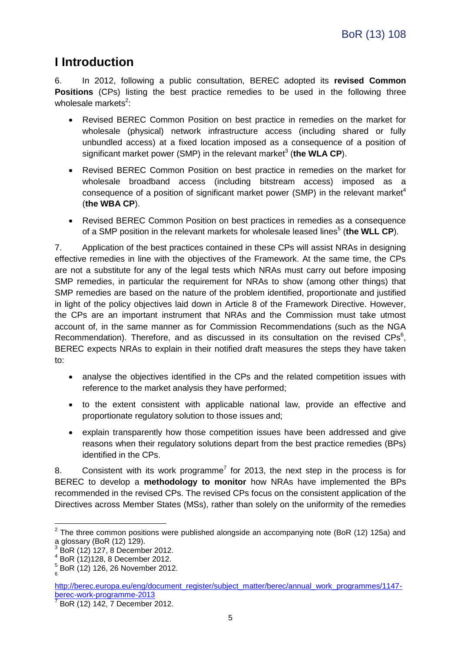# <span id="page-4-0"></span>**I Introduction**

<span id="page-4-1"></span>6. In 2012, following a public consultation, BEREC adopted its **revised Common Positions** (CPs) listing the best practice remedies to be used in the following three wholesale markets<sup>2</sup>:

- Revised BEREC Common Position on best practice in remedies on the market for wholesale (physical) network infrastructure access (including shared or fully unbundled access) at a fixed location imposed as a consequence of a position of significant market power (SMP) in the relevant market<sup>3</sup> (the WLA CP).
- Revised BEREC Common Position on best practice in remedies on the market for wholesale broadband access (including bitstream access) imposed as a consequence of a position of significant market power (SMP) in the relevant market<sup>4</sup> (**the WBA CP**).
- Revised BEREC Common Position on best practices in remedies as a consequence of a SMP position in the relevant markets for wholesale leased lines<sup>5</sup> (the WLL CP).

7. Application of the best practices contained in these CPs will assist NRAs in designing effective remedies in line with the objectives of the Framework. At the same time, the CPs are not a substitute for any of the legal tests which NRAs must carry out before imposing SMP remedies, in particular the requirement for NRAs to show (among other things) that SMP remedies are based on the nature of the problem identified, proportionate and justified in light of the policy objectives laid down in Article 8 of the Framework Directive. However, the CPs are an important instrument that NRAs and the Commission must take utmost account of, in the same manner as for Commission Recommendations (such as the NGA Recommendation). Therefore, and as discussed in its consultation on the revised  $CPs<sup>6</sup>$ , BEREC expects NRAs to explain in their notified draft measures the steps they have taken to:

- analyse the objectives identified in the CPs and the related competition issues with reference to the market analysis they have performed;
- to the extent consistent with applicable national law, provide an effective and proportionate regulatory solution to those issues and;
- explain transparently how those competition issues have been addressed and give reasons when their regulatory solutions depart from the best practice remedies (BPs) identified in the CPs.

8. Consistent with its work programme<sup>7</sup> for 2013, the next step in the process is for BEREC to develop a **methodology to monitor** how NRAs have implemented the BPs recommended in the revised CPs. The revised CPs focus on the consistent application of the Directives across Member States (MSs), rather than solely on the uniformity of the remedies

<u>.</u>

 $2$  The three common positions were published alongside an accompanying note (BoR (12) 125a) and a glossary (BoR (12) 129).

<sup>3</sup> BoR (12) 127, 8 December 2012.

 $4$  BoR  $(12)$ 128, 8 December 2012.

 $_{6}^{5}$  BoR (12) 126, 26 November 2012.

[http://berec.europa.eu/eng/document\\_register/subject\\_matter/berec/annual\\_work\\_programmes/1147](http://berec.europa.eu/eng/document_register/subject_matter/berec/annual_work_programmes/1147-berec-work-programme-2013) [berec-work-programme-2013](http://berec.europa.eu/eng/document_register/subject_matter/berec/annual_work_programmes/1147-berec-work-programme-2013)

<sup>7</sup> BoR (12) 142, 7 December 2012.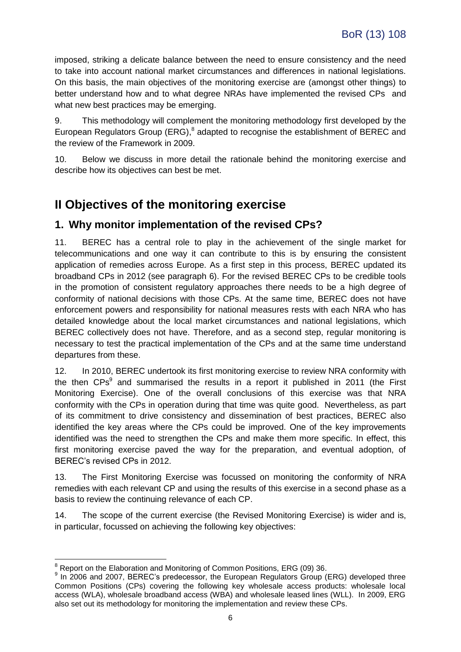imposed, striking a delicate balance between the need to ensure consistency and the need to take into account national market circumstances and differences in national legislations. On this basis, the main objectives of the monitoring exercise are (amongst other things) to better understand how and to what degree NRAs have implemented the revised CPs and what new best practices may be emerging.

9. This methodology will complement the monitoring methodology first developed by the European Regulators Group (ERG),<sup>8</sup> adapted to recognise the establishment of BEREC and the review of the Framework in 2009.

10. Below we discuss in more detail the rationale behind the monitoring exercise and describe how its objectives can best be met.

## <span id="page-5-0"></span>**II Objectives of the monitoring exercise**

### <span id="page-5-1"></span>**1. Why monitor implementation of the revised CPs?**

11. BEREC has a central role to play in the achievement of the single market for telecommunications and one way it can contribute to this is by ensuring the consistent application of remedies across Europe. As a first step in this process, BEREC updated its broadband CPs in 2012 (see paragraph [6\)](#page-4-1). For the revised BEREC CPs to be credible tools in the promotion of consistent regulatory approaches there needs to be a high degree of conformity of national decisions with those CPs. At the same time, BEREC does not have enforcement powers and responsibility for national measures rests with each NRA who has detailed knowledge about the local market circumstances and national legislations, which BEREC collectively does not have. Therefore, and as a second step, regular monitoring is necessary to test the practical implementation of the CPs and at the same time understand departures from these.

12. In 2010, BEREC undertook its first monitoring exercise to review NRA conformity with the then  $CPs<sup>9</sup>$  and summarised the results in a report it published in 2011 (the First Monitoring Exercise). One of the overall conclusions of this exercise was that NRA conformity with the CPs in operation during that time was quite good. Nevertheless, as part of its commitment to drive consistency and dissemination of best practices, BEREC also identified the key areas where the CPs could be improved. One of the key improvements identified was the need to strengthen the CPs and make them more specific. In effect, this first monitoring exercise paved the way for the preparation, and eventual adoption, of BEREC's revised CPs in 2012.

13. The First Monitoring Exercise was focussed on monitoring the conformity of NRA remedies with each relevant CP and using the results of this exercise in a second phase as a basis to review the continuing relevance of each CP.

<span id="page-5-2"></span>14. The scope of the current exercise (the Revised Monitoring Exercise) is wider and is, in particular, focussed on achieving the following key objectives:

<sup>1</sup>  $8$  Report on the Elaboration and Monitoring of Common Positions, ERG (09) 36.

<sup>&</sup>lt;sup>9</sup> In 2006 and 2007, BEREC's predecessor, the European Regulators Group (ERG) developed three Common Positions (CPs) covering the following key wholesale access products: wholesale local access (WLA), wholesale broadband access (WBA) and wholesale leased lines (WLL). In 2009, ERG also set out its methodology for monitoring the implementation and review these CPs.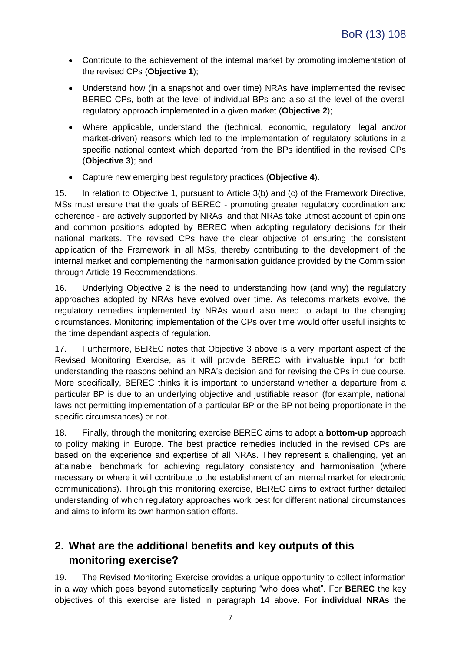- Contribute to the achievement of the internal market by promoting implementation of the revised CPs (**Objective 1**);
- Understand how (in a snapshot and over time) NRAs have implemented the revised BEREC CPs, both at the level of individual BPs and also at the level of the overall regulatory approach implemented in a given market (**Objective 2**);
- Where applicable, understand the (technical, economic, regulatory, legal and/or market-driven) reasons which led to the implementation of regulatory solutions in a specific national context which departed from the BPs identified in the revised CPs (**Objective 3**); and
- Capture new emerging best regulatory practices (**Objective 4**).

15. In relation to Objective 1, pursuant to Article 3(b) and (c) of the Framework Directive, MSs must ensure that the goals of BEREC - promoting greater regulatory coordination and coherence - are actively supported by NRAs and that NRAs take utmost account of opinions and common positions adopted by BEREC when adopting regulatory decisions for their national markets. The revised CPs have the clear objective of ensuring the consistent application of the Framework in all MSs, thereby contributing to the development of the internal market and complementing the harmonisation guidance provided by the Commission through Article 19 Recommendations.

16. Underlying Objective 2 is the need to understanding how (and why) the regulatory approaches adopted by NRAs have evolved over time. As telecoms markets evolve, the regulatory remedies implemented by NRAs would also need to adapt to the changing circumstances. Monitoring implementation of the CPs over time would offer useful insights to the time dependant aspects of regulation.

17. Furthermore, BEREC notes that Objective 3 above is a very important aspect of the Revised Monitoring Exercise, as it will provide BEREC with invaluable input for both understanding the reasons behind an NRA's decision and for revising the CPs in due course. More specifically, BEREC thinks it is important to understand whether a departure from a particular BP is due to an underlying objective and justifiable reason (for example, national laws not permitting implementation of a particular BP or the BP not being proportionate in the specific circumstances) or not.

18. Finally, through the monitoring exercise BEREC aims to adopt a **bottom-up** approach to policy making in Europe. The best practice remedies included in the revised CPs are based on the experience and expertise of all NRAs. They represent a challenging, yet an attainable, benchmark for achieving regulatory consistency and harmonisation (where necessary or where it will contribute to the establishment of an internal market for electronic communications). Through this monitoring exercise, BEREC aims to extract further detailed understanding of which regulatory approaches work best for different national circumstances and aims to inform its own harmonisation efforts.

### <span id="page-6-0"></span>**2. What are the additional benefits and key outputs of this monitoring exercise?**

19. The Revised Monitoring Exercise provides a unique opportunity to collect information in a way which goes beyond automatically capturing "who does what". For **BEREC** the key objectives of this exercise are listed in paragraph [14](#page-5-2) above. For **individual NRAs** the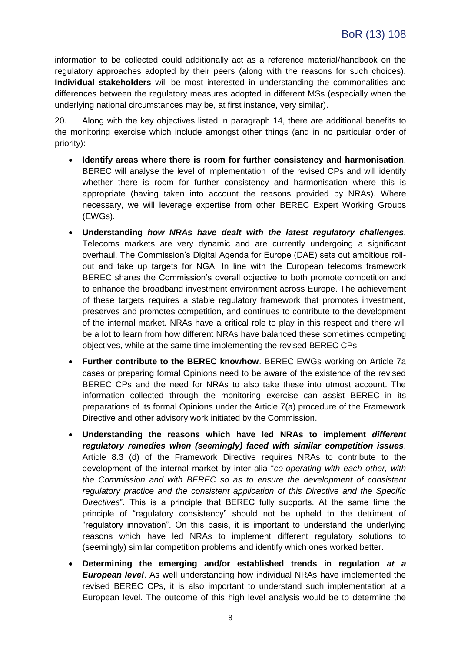information to be collected could additionally act as a reference material/handbook on the regulatory approaches adopted by their peers (along with the reasons for such choices). **Individual stakeholders** will be most interested in understanding the commonalities and differences between the regulatory measures adopted in different MSs (especially when the underlying national circumstances may be, at first instance, very similar).

20. Along with the key objectives listed in paragraph [14,](#page-5-2) there are additional benefits to the monitoring exercise which include amongst other things (and in no particular order of priority):

- **Identify areas where there is room for further consistency and harmonisation**. BEREC will analyse the level of implementation of the revised CPs and will identify whether there is room for further consistency and harmonisation where this is appropriate (having taken into account the reasons provided by NRAs). Where necessary, we will leverage expertise from other BEREC Expert Working Groups (EWGs).
- **Understanding** *how NRAs have dealt with the latest regulatory challenges*. Telecoms markets are very dynamic and are currently undergoing a significant overhaul. The Commission's Digital Agenda for Europe (DAE) sets out ambitious rollout and take up targets for NGA. In line with the European telecoms framework BEREC shares the Commission's overall objective to both promote competition and to enhance the broadband investment environment across Europe. The achievement of these targets requires a stable regulatory framework that promotes investment, preserves and promotes competition, and continues to contribute to the development of the internal market. NRAs have a critical role to play in this respect and there will be a lot to learn from how different NRAs have balanced these sometimes competing objectives, while at the same time implementing the revised BEREC CPs.
- **Further contribute to the BEREC knowhow**. BEREC EWGs working on Article 7a cases or preparing formal Opinions need to be aware of the existence of the revised BEREC CPs and the need for NRAs to also take these into utmost account. The information collected through the monitoring exercise can assist BEREC in its preparations of its formal Opinions under the Article 7(a) procedure of the Framework Directive and other advisory work initiated by the Commission.
- **Understanding the reasons which have led NRAs to implement** *different regulatory remedies when (seemingly) faced with similar competition issues*. Article 8.3 (d) of the Framework Directive requires NRAs to contribute to the development of the internal market by inter alia "*co-operating with each other, with the Commission and with BEREC so as to ensure the development of consistent regulatory practice and the consistent application of this Directive and the Specific Directives*". This is a principle that BEREC fully supports. At the same time the principle of "regulatory consistency" should not be upheld to the detriment of "regulatory innovation". On this basis, it is important to understand the underlying reasons which have led NRAs to implement different regulatory solutions to (seemingly) similar competition problems and identify which ones worked better.
- **Determining the emerging and/or established trends in regulation** *at a European level*. As well understanding how individual NRAs have implemented the revised BEREC CPs, it is also important to understand such implementation at a European level. The outcome of this high level analysis would be to determine the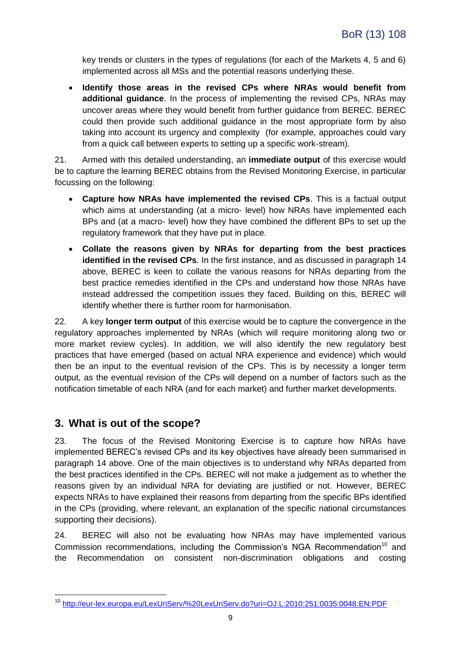key trends or clusters in the types of regulations (for each of the Markets 4, 5 and 6) implemented across all MSs and the potential reasons underlying these.

 **Identify those areas in the revised CPs where NRAs would benefit from additional guidance**. In the process of implementing the revised CPs, NRAs may uncover areas where they would benefit from further guidance from BEREC. BEREC could then provide such additional guidance in the most appropriate form by also taking into account its urgency and complexity (for example, approaches could vary from a quick call between experts to setting up a specific work-stream).

21. Armed with this detailed understanding, an **immediate output** of this exercise would be to capture the learning BEREC obtains from the Revised Monitoring Exercise, in particular focussing on the following:

- **Capture how NRAs have implemented the revised CPs**. This is a factual output which aims at understanding (at a micro- level) how NRAs have implemented each BPs and (at a macro- level) how they have combined the different BPs to set up the regulatory framework that they have put in place.
- **Collate the reasons given by NRAs for departing from the best practices identified in the revised CPs**. In the first instance, and as discussed in paragraph [14](#page-5-2) above, BEREC is keen to collate the various reasons for NRAs departing from the best practice remedies identified in the CPs and understand how those NRAs have instead addressed the competition issues they faced. Building on this, BEREC will identify whether there is further room for harmonisation.

<span id="page-8-1"></span>22. A key **longer term output** of this exercise would be to capture the convergence in the regulatory approaches implemented by NRAs (which will require monitoring along two or more market review cycles). In addition, we will also identify the new regulatory best practices that have emerged (based on actual NRA experience and evidence) which would then be an input to the eventual revision of the CPs. This is by necessity a longer term output, as the eventual revision of the CPs will depend on a number of factors such as the notification timetable of each NRA (and for each market) and further market developments.

### <span id="page-8-0"></span>**3. What is out of the scope?**

1

23. The focus of the Revised Monitoring Exercise is to capture how NRAs have implemented BEREC's revised CPs and its key objectives have already been summarised in paragraph [14](#page-5-2) above. One of the main objectives is to understand why NRAs departed from the best practices identified in the CPs. BEREC will not make a judgement as to whether the reasons given by an individual NRA for deviating are justified or not. However, BEREC expects NRAs to have explained their reasons from departing from the specific BPs identified in the CPs (providing, where relevant, an explanation of the specific national circumstances supporting their decisions).

24. BEREC will also not be evaluating how NRAs may have implemented various Commission recommendations, including the Commission's NGA Recommendation<sup>10</sup> and the Recommendation on consistent non-discrimination obligations and costing

<sup>10</sup> <http://eur-lex.europa.eu/LexUriServ/%20LexUriServ.do?uri=OJ:L:2010:251:0035:0048:EN:PDF>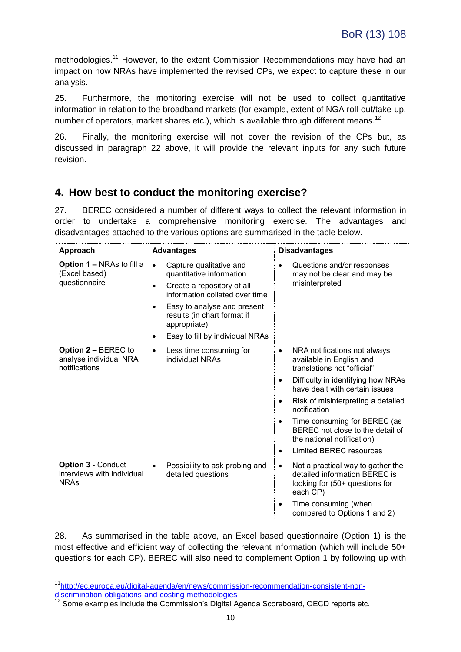methodologies.<sup>11</sup> However, to the extent Commission Recommendations may have had an impact on how NRAs have implemented the revised CPs, we expect to capture these in our analysis.

25. Furthermore, the monitoring exercise will not be used to collect quantitative information in relation to the broadband markets (for example, extent of NGA roll-out/take-up, number of operators, market shares etc.), which is available through different means.<sup>12</sup>

26. Finally, the monitoring exercise will not cover the revision of the CPs but, as discussed in paragraph [22](#page-8-1) above, it will provide the relevant inputs for any such future revision.

### <span id="page-9-0"></span>**4. How best to conduct the monitoring exercise?**

27. BEREC considered a number of different ways to collect the relevant information in order to undertake a comprehensive monitoring exercise. The advantages and disadvantages attached to the various options are summarised in the table below.

| Approach                                                               | <b>Advantages</b>                                                                                                                                                                                                                                                   | <b>Disadvantages</b>                                                                                                                                                                                                                                                                                                                                                                                               |  |
|------------------------------------------------------------------------|---------------------------------------------------------------------------------------------------------------------------------------------------------------------------------------------------------------------------------------------------------------------|--------------------------------------------------------------------------------------------------------------------------------------------------------------------------------------------------------------------------------------------------------------------------------------------------------------------------------------------------------------------------------------------------------------------|--|
| Option 1 – NRAs to fill a<br>(Excel based)<br>questionnaire            | Capture qualitative and<br>$\bullet$<br>quantitative information<br>Create a repository of all<br>$\bullet$<br>information collated over time<br>Easy to analyse and present<br>٠<br>results (in chart format if<br>appropriate)<br>Easy to fill by individual NRAs | Questions and/or responses<br>$\bullet$<br>may not be clear and may be<br>misinterpreted                                                                                                                                                                                                                                                                                                                           |  |
| <b>Option 2 – BEREC to</b><br>analyse individual NRA<br>notifications  | Less time consuming for<br>$\bullet$<br>individual NRAs                                                                                                                                                                                                             | NRA notifications not always<br>$\bullet$<br>available in English and<br>translations not "official"<br>Difficulty in identifying how NRAs<br>$\bullet$<br>have dealt with certain issues<br>Risk of misinterpreting a detailed<br>٠<br>notification<br>Time consuming for BEREC (as<br>$\bullet$<br>BEREC not close to the detail of<br>the national notification)<br><b>Limited BEREC resources</b><br>$\bullet$ |  |
| <b>Option 3 - Conduct</b><br>interviews with individual<br><b>NRAs</b> | Possibility to ask probing and<br>$\bullet$<br>detailed questions                                                                                                                                                                                                   | Not a practical way to gather the<br>$\bullet$<br>detailed information BEREC is<br>looking for (50+ questions for<br>each CP)<br>Time consuming (when<br>compared to Options 1 and 2)                                                                                                                                                                                                                              |  |

28. As summarised in the table above, an Excel based questionnaire (Option 1) is the most effective and efficient way of collecting the relevant information (which will include 50+ questions for each CP). BEREC will also need to complement Option 1 by following up with

<u>.</u>

<sup>&</sup>lt;sup>11</sup>[http://ec.europa.eu/digital-agenda/en/news/commission-recommendation-consistent-non](http://ec.europa.eu/digital-agenda/en/news/commission-recommendation-consistent-non-discrimination-obligations-and-costing-methodologies)[discrimination-obligations-and-costing-methodologies](http://ec.europa.eu/digital-agenda/en/news/commission-recommendation-consistent-non-discrimination-obligations-and-costing-methodologies)

 $12$  Some examples include the Commission's Digital Agenda Scoreboard, OECD reports etc.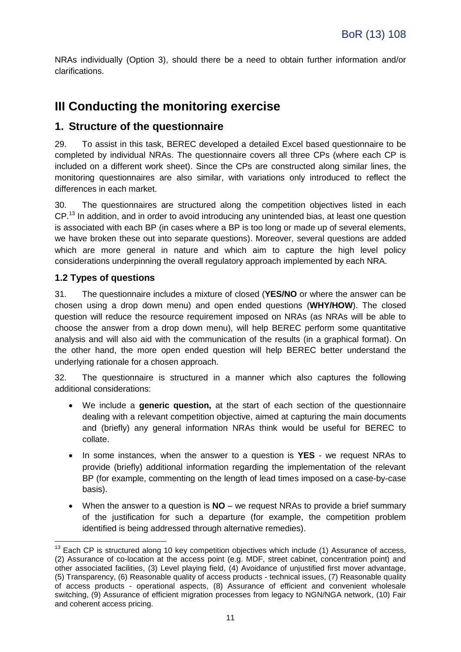NRAs individually (Option 3), should there be a need to obtain further information and/or clarifications.

## <span id="page-10-0"></span>**III Conducting the monitoring exercise**

### <span id="page-10-1"></span>**1. Structure of the questionnaire**

29. To assist in this task, BEREC developed a detailed Excel based questionnaire to be completed by individual NRAs. The questionnaire covers all three CPs (where each CP is included on a different work sheet). Since the CPs are constructed along similar lines, the monitoring questionnaires are also similar, with variations only introduced to reflect the differences in each market.

30. The questionnaires are structured along the competition objectives listed in each CP.<sup>13</sup> In addition, and in order to avoid introducing any unintended bias, at least one question is associated with each BP (in cases where a BP is too long or made up of several elements, we have broken these out into separate questions). Moreover, several questions are added which are more general in nature and which aim to capture the high level policy considerations underpinning the overall regulatory approach implemented by each NRA.

#### <span id="page-10-2"></span>**1.2 Types of questions**

1

31. The questionnaire includes a mixture of closed (**YES/NO** or where the answer can be chosen using a drop down menu) and open ended questions (**WHY/HOW**). The closed question will reduce the resource requirement imposed on NRAs (as NRAs will be able to choose the answer from a drop down menu), will help BEREC perform some quantitative analysis and will also aid with the communication of the results (in a graphical format). On the other hand, the more open ended question will help BEREC better understand the underlying rationale for a chosen approach.

32. The questionnaire is structured in a manner which also captures the following additional considerations:

- We include a **generic question,** at the start of each section of the questionnaire dealing with a relevant competition objective, aimed at capturing the main documents and (briefly) any general information NRAs think would be useful for BEREC to collate.
- In some instances, when the answer to a question is **YES** we request NRAs to provide (briefly) additional information regarding the implementation of the relevant BP (for example, commenting on the length of lead times imposed on a case-by-case basis).
- When the answer to a question is **NO** we request NRAs to provide a brief summary of the justification for such a departure (for example, the competition problem identified is being addressed through alternative remedies).

 $13$  Each CP is structured along 10 key competition objectives which include (1) Assurance of access, (2) Assurance of co-location at the access point (e.g. MDF, street cabinet, concentration point) and other associated facilities, (3) Level playing field, (4) Avoidance of unjustified first mover advantage, (5) Transparency, (6) Reasonable quality of access products - technical issues, (7) Reasonable quality of access products - operational aspects, (8) Assurance of efficient and convenient wholesale switching, (9) Assurance of efficient migration processes from legacy to NGN/NGA network, (10) Fair and coherent access pricing.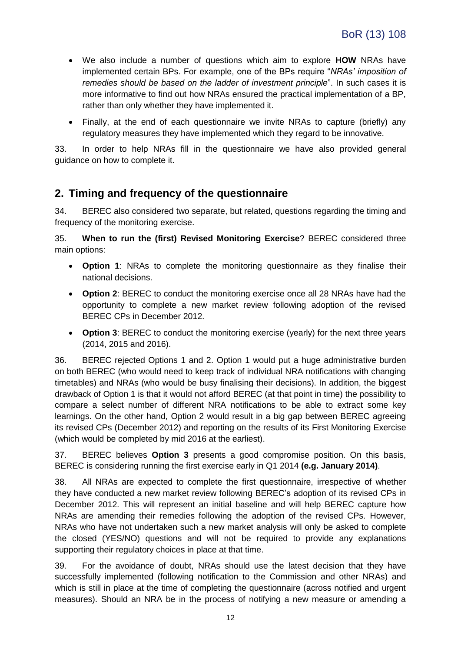- We also include a number of questions which aim to explore **HOW** NRAs have implemented certain BPs. For example, one of the BPs require "*NRAs' imposition of remedies should be based on the ladder of investment principle*". In such cases it is more informative to find out how NRAs ensured the practical implementation of a BP, rather than only whether they have implemented it.
- Finally, at the end of each questionnaire we invite NRAs to capture (briefly) any regulatory measures they have implemented which they regard to be innovative.

33. In order to help NRAs fill in the questionnaire we have also provided general guidance on how to complete it.

### <span id="page-11-0"></span>**2. Timing and frequency of the questionnaire**

34. BEREC also considered two separate, but related, questions regarding the timing and frequency of the monitoring exercise.

<span id="page-11-1"></span>35. **When to run the (first) Revised Monitoring Exercise**? BEREC considered three main options:

- **Option 1**: NRAs to complete the monitoring questionnaire as they finalise their national decisions.
- **Option 2**: BEREC to conduct the monitoring exercise once all 28 NRAs have had the opportunity to complete a new market review following adoption of the revised BEREC CPs in December 2012.
- **Option 3**: BEREC to conduct the monitoring exercise (yearly) for the next three years (2014, 2015 and 2016).

36. BEREC rejected Options 1 and 2. Option 1 would put a huge administrative burden on both BEREC (who would need to keep track of individual NRA notifications with changing timetables) and NRAs (who would be busy finalising their decisions). In addition, the biggest drawback of Option 1 is that it would not afford BEREC (at that point in time) the possibility to compare a select number of different NRA notifications to be able to extract some key learnings. On the other hand, Option 2 would result in a big gap between BEREC agreeing its revised CPs (December 2012) and reporting on the results of its First Monitoring Exercise (which would be completed by mid 2016 at the earliest).

37. BEREC believes **Option 3** presents a good compromise position. On this basis, BEREC is considering running the first exercise early in Q1 2014 **(e.g. January 2014)**.

38. All NRAs are expected to complete the first questionnaire, irrespective of whether they have conducted a new market review following BEREC's adoption of its revised CPs in December 2012. This will represent an initial baseline and will help BEREC capture how NRAs are amending their remedies following the adoption of the revised CPs. However, NRAs who have not undertaken such a new market analysis will only be asked to complete the closed (YES/NO) questions and will not be required to provide any explanations supporting their regulatory choices in place at that time.

39. For the avoidance of doubt, NRAs should use the latest decision that they have successfully implemented (following notification to the Commission and other NRAs) and which is still in place at the time of completing the questionnaire (across notified and urgent measures). Should an NRA be in the process of notifying a new measure or amending a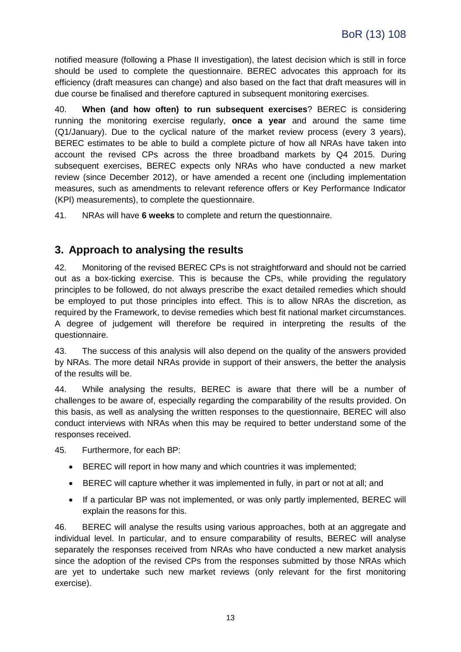notified measure (following a Phase II investigation), the latest decision which is still in force should be used to complete the questionnaire. BEREC advocates this approach for its efficiency (draft measures can change) and also based on the fact that draft measures will in due course be finalised and therefore captured in subsequent monitoring exercises.

<span id="page-12-1"></span>40. **When (and how often) to run subsequent exercises**? BEREC is considering running the monitoring exercise regularly, **once a year** and around the same time (Q1/January). Due to the cyclical nature of the market review process (every 3 years), BEREC estimates to be able to build a complete picture of how all NRAs have taken into account the revised CPs across the three broadband markets by Q4 2015. During subsequent exercises, BEREC expects only NRAs who have conducted a new market review (since December 2012), or have amended a recent one (including implementation measures, such as amendments to relevant reference offers or Key Performance Indicator (KPI) measurements), to complete the questionnaire.

41. NRAs will have **6 weeks** to complete and return the questionnaire.

#### <span id="page-12-0"></span>**3. Approach to analysing the results**

42. Monitoring of the revised BEREC CPs is not straightforward and should not be carried out as a box-ticking exercise. This is because the CPs, while providing the regulatory principles to be followed, do not always prescribe the exact detailed remedies which should be employed to put those principles into effect. This is to allow NRAs the discretion, as required by the Framework, to devise remedies which best fit national market circumstances. A degree of judgement will therefore be required in interpreting the results of the questionnaire.

43. The success of this analysis will also depend on the quality of the answers provided by NRAs. The more detail NRAs provide in support of their answers, the better the analysis of the results will be.

44. While analysing the results, BEREC is aware that there will be a number of challenges to be aware of, especially regarding the comparability of the results provided. On this basis, as well as analysing the written responses to the questionnaire, BEREC will also conduct interviews with NRAs when this may be required to better understand some of the responses received.

45. Furthermore, for each BP:

- BEREC will report in how many and which countries it was implemented:
- BEREC will capture whether it was implemented in fully, in part or not at all; and
- If a particular BP was not implemented, or was only partly implemented, BEREC will explain the reasons for this.

46. BEREC will analyse the results using various approaches, both at an aggregate and individual level. In particular, and to ensure comparability of results, BEREC will analyse separately the responses received from NRAs who have conducted a new market analysis since the adoption of the revised CPs from the responses submitted by those NRAs which are yet to undertake such new market reviews (only relevant for the first monitoring exercise).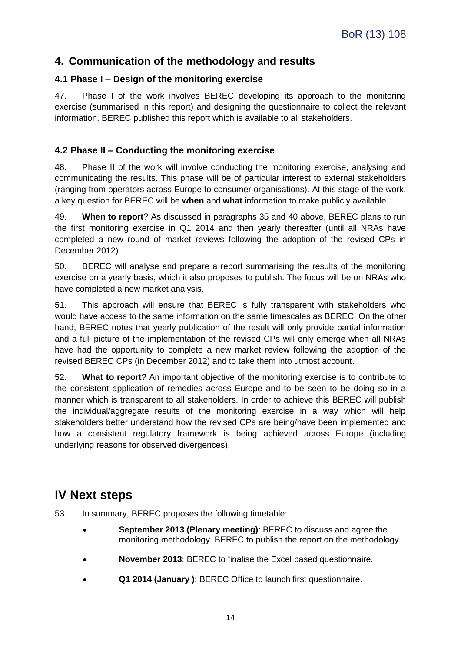### <span id="page-13-0"></span>**4. Communication of the methodology and results**

#### <span id="page-13-1"></span>**4.1 Phase I – Design of the monitoring exercise**

47. Phase I of the work involves BEREC developing its approach to the monitoring exercise (summarised in this report) and designing the questionnaire to collect the relevant information. BEREC published this report which is available to all stakeholders.

#### <span id="page-13-2"></span>**4.2 Phase II – Conducting the monitoring exercise**

48. Phase II of the work will involve conducting the monitoring exercise, analysing and communicating the results. This phase will be of particular interest to external stakeholders (ranging from operators across Europe to consumer organisations). At this stage of the work, a key question for BEREC will be **when** and **what** information to make publicly available.

49. **When to report**? As discussed in paragraphs [35](#page-11-1) and [40](#page-12-1) above, BEREC plans to run the first monitoring exercise in Q1 2014 and then yearly thereafter (until all NRAs have completed a new round of market reviews following the adoption of the revised CPs in December 2012).

50. BEREC will analyse and prepare a report summarising the results of the monitoring exercise on a yearly basis, which it also proposes to publish. The focus will be on NRAs who have completed a new market analysis.

51. This approach will ensure that BEREC is fully transparent with stakeholders who would have access to the same information on the same timescales as BEREC. On the other hand, BEREC notes that yearly publication of the result will only provide partial information and a full picture of the implementation of the revised CPs will only emerge when all NRAs have had the opportunity to complete a new market review following the adoption of the revised BEREC CPs (in December 2012) and to take them into utmost account.

52. **What to report**? An important objective of the monitoring exercise is to contribute to the consistent application of remedies across Europe and to be seen to be doing so in a manner which is transparent to all stakeholders. In order to achieve this BEREC will publish the individual/aggregate results of the monitoring exercise in a way which will help stakeholders better understand how the revised CPs are being/have been implemented and how a consistent regulatory framework is being achieved across Europe (including underlying reasons for observed divergences).

### <span id="page-13-3"></span>**IV Next steps**

- 53. In summary, BEREC proposes the following timetable:
	- **September 2013 (Plenary meeting)**: BEREC to discuss and agree the monitoring methodology. BEREC to publish the report on the methodology.
	- **November 2013**: BEREC to finalise the Excel based questionnaire.
	- **Q1 2014 (January )**: BEREC Office to launch first questionnaire.